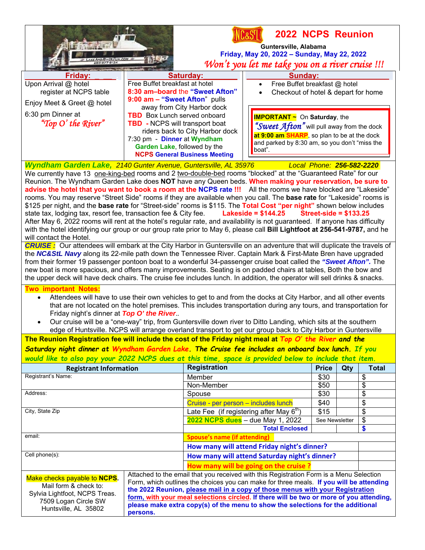| <b>2022 NCPS Reunion</b><br>Guntersville, Alabama<br>Friday, May 20, 2022 - Sunday, May 22, 2022<br>Won't you let me take you on a river cruise !!!                                                                                                                                                                                                                                                                                                                                                                                                                                                                                                                                                                                                                                                                                                                                                                                                                                                                                                                                                                                                                                                                                                                                                                                                                                                                                                                                                                                                                                                                                                                                                                                                                                                                                                                                                                                                                 |                                                                                                                                                                                                                                                                                                                                                                                                                                                               |                                                                         |                                                                                                                                                                                             |                           |     |              |  |  |
|---------------------------------------------------------------------------------------------------------------------------------------------------------------------------------------------------------------------------------------------------------------------------------------------------------------------------------------------------------------------------------------------------------------------------------------------------------------------------------------------------------------------------------------------------------------------------------------------------------------------------------------------------------------------------------------------------------------------------------------------------------------------------------------------------------------------------------------------------------------------------------------------------------------------------------------------------------------------------------------------------------------------------------------------------------------------------------------------------------------------------------------------------------------------------------------------------------------------------------------------------------------------------------------------------------------------------------------------------------------------------------------------------------------------------------------------------------------------------------------------------------------------------------------------------------------------------------------------------------------------------------------------------------------------------------------------------------------------------------------------------------------------------------------------------------------------------------------------------------------------------------------------------------------------------------------------------------------------|---------------------------------------------------------------------------------------------------------------------------------------------------------------------------------------------------------------------------------------------------------------------------------------------------------------------------------------------------------------------------------------------------------------------------------------------------------------|-------------------------------------------------------------------------|---------------------------------------------------------------------------------------------------------------------------------------------------------------------------------------------|---------------------------|-----|--------------|--|--|
| <b>Friday:</b>                                                                                                                                                                                                                                                                                                                                                                                                                                                                                                                                                                                                                                                                                                                                                                                                                                                                                                                                                                                                                                                                                                                                                                                                                                                                                                                                                                                                                                                                                                                                                                                                                                                                                                                                                                                                                                                                                                                                                      |                                                                                                                                                                                                                                                                                                                                                                                                                                                               | Saturday:                                                               | Sunday:                                                                                                                                                                                     |                           |     |              |  |  |
| Upon Arrival @ hotel<br>register at NCPS table<br>Enjoy Meet & Greet @ hotel                                                                                                                                                                                                                                                                                                                                                                                                                                                                                                                                                                                                                                                                                                                                                                                                                                                                                                                                                                                                                                                                                                                                                                                                                                                                                                                                                                                                                                                                                                                                                                                                                                                                                                                                                                                                                                                                                        | Free Buffet breakfast at hotel<br>8:30 am-board the "Sweet Afton"<br>9:00 am - "Sweet Afton" pulls                                                                                                                                                                                                                                                                                                                                                            | away from City Harbor dock                                              | Free Buffet breakfast @ hotel<br>Checkout of hotel & depart for home                                                                                                                        |                           |     |              |  |  |
| 6:30 pm Dinner at<br>"Top O' the River"                                                                                                                                                                                                                                                                                                                                                                                                                                                                                                                                                                                                                                                                                                                                                                                                                                                                                                                                                                                                                                                                                                                                                                                                                                                                                                                                                                                                                                                                                                                                                                                                                                                                                                                                                                                                                                                                                                                             | <b>TBD</b> Box Lunch served onboard<br><b>TBD</b> - NCPS will transport boat<br>7:30 pm - Dinner at Wyndham<br>Garden Lake, followed by the                                                                                                                                                                                                                                                                                                                   | riders back to City Harbor dock<br><b>NCPS General Business Meeting</b> | <b>IMPORTANT ~</b> On Saturday, the<br>"Sweet Afton" will pull away from the dock<br>at 9:00 am SHARP, so plan to be at the dock<br>and parked by 8:30 am, so you don't "miss the<br>boat". |                           |     |              |  |  |
| Wyndham Garden Lake, 2140 Gunter Avenue, Guntersville, AL 35976                                                                                                                                                                                                                                                                                                                                                                                                                                                                                                                                                                                                                                                                                                                                                                                                                                                                                                                                                                                                                                                                                                                                                                                                                                                                                                                                                                                                                                                                                                                                                                                                                                                                                                                                                                                                                                                                                                     |                                                                                                                                                                                                                                                                                                                                                                                                                                                               |                                                                         |                                                                                                                                                                                             | Local Phone: 256-582-2220 |     |              |  |  |
| We currently have 13 one-king-bed rooms and 2 two-double-bed rooms "blocked" at the "Guaranteed Rate" for our<br>Reunion. The Wyndham Garden Lake does NOT have any Queen beds. When making your reservation, be sure to<br>advise the hotel that you want to book a room at the NCPS rate !!! All the rooms we have blocked are "Lakeside"<br>rooms. You may reserve "Street Side" rooms if they are available when you call. The base rate for "Lakeside" rooms is<br>\$125 per night, and the base rate for "Street-side" rooms is \$115. The Total Cost "per night" shown below includes<br>Lakeside = $$144.25$<br>state tax, lodging tax, resort fee, transaction fee & City fee.<br>Street-side = $$133.25$<br>After May 6, 2022 rooms will rent at the hotel's regular rate, and availability is not guaranteed. If anyone has difficulty<br>with the hotel identifying our group or our group rate prior to May 6, please call Bill Lightfoot at 256-541-9787, and he<br>will contact the Hotel.<br><b>CRUISE:</b> Our attendees will embark at the City Harbor in Guntersville on an adventure that will duplicate the travels of<br>the NC&StL Navy along its 22-mile path down the Tennessee River. Captain Mark & First-Mate Bren have upgraded<br>from their former 19 passenger pontoon boat to a wonderful 34-passenger cruise boat called the "Sweet Afton". The<br>new boat is more spacious, and offers many improvements. Seating is on padded chairs at tables, Both the bow and<br>the upper deck will have deck chairs. The cruise fee includes lunch. In addition, the operator will sell drinks & snacks.<br><b>Two important Notes:</b><br>Attendees will have to use their own vehicles to get to and from the docks at City Harbor, and all other events<br>$\bullet$<br>that are not located on the hotel premises. This includes transportation during any tours, and transportation for<br>Friday night's dinner at Top O' the River |                                                                                                                                                                                                                                                                                                                                                                                                                                                               |                                                                         |                                                                                                                                                                                             |                           |     |              |  |  |
| Our cruise will be a "one-way" trip, from Guntersville down river to Ditto Landing, which sits at the southern<br>$\bullet$                                                                                                                                                                                                                                                                                                                                                                                                                                                                                                                                                                                                                                                                                                                                                                                                                                                                                                                                                                                                                                                                                                                                                                                                                                                                                                                                                                                                                                                                                                                                                                                                                                                                                                                                                                                                                                         |                                                                                                                                                                                                                                                                                                                                                                                                                                                               |                                                                         |                                                                                                                                                                                             |                           |     |              |  |  |
| edge of Huntsville. NCPS will arrange overland transport to get our group back to City Harbor in Guntersville                                                                                                                                                                                                                                                                                                                                                                                                                                                                                                                                                                                                                                                                                                                                                                                                                                                                                                                                                                                                                                                                                                                                                                                                                                                                                                                                                                                                                                                                                                                                                                                                                                                                                                                                                                                                                                                       |                                                                                                                                                                                                                                                                                                                                                                                                                                                               |                                                                         |                                                                                                                                                                                             |                           |     |              |  |  |
| The Reunion Registration fee will include the cost of the Friday night meal at Top O' the River and the<br>Saturday night dinner at Wyndham Garden Lake. The Cruise fee includes an onboard box lunch. If you<br>would like to also pay your 2022 NCPS dues at this time, space is provided below to include that item.                                                                                                                                                                                                                                                                                                                                                                                                                                                                                                                                                                                                                                                                                                                                                                                                                                                                                                                                                                                                                                                                                                                                                                                                                                                                                                                                                                                                                                                                                                                                                                                                                                             |                                                                                                                                                                                                                                                                                                                                                                                                                                                               |                                                                         |                                                                                                                                                                                             |                           |     |              |  |  |
| <b>Registrant Information</b>                                                                                                                                                                                                                                                                                                                                                                                                                                                                                                                                                                                                                                                                                                                                                                                                                                                                                                                                                                                                                                                                                                                                                                                                                                                                                                                                                                                                                                                                                                                                                                                                                                                                                                                                                                                                                                                                                                                                       |                                                                                                                                                                                                                                                                                                                                                                                                                                                               | <b>Registration</b>                                                     |                                                                                                                                                                                             | <b>Price</b>              | Qty | <b>Total</b> |  |  |
| Registrant's Name:                                                                                                                                                                                                                                                                                                                                                                                                                                                                                                                                                                                                                                                                                                                                                                                                                                                                                                                                                                                                                                                                                                                                                                                                                                                                                                                                                                                                                                                                                                                                                                                                                                                                                                                                                                                                                                                                                                                                                  |                                                                                                                                                                                                                                                                                                                                                                                                                                                               | Member                                                                  |                                                                                                                                                                                             | \$30                      |     | \$           |  |  |
|                                                                                                                                                                                                                                                                                                                                                                                                                                                                                                                                                                                                                                                                                                                                                                                                                                                                                                                                                                                                                                                                                                                                                                                                                                                                                                                                                                                                                                                                                                                                                                                                                                                                                                                                                                                                                                                                                                                                                                     |                                                                                                                                                                                                                                                                                                                                                                                                                                                               | Non-Member                                                              |                                                                                                                                                                                             | \$50                      |     | \$           |  |  |
| Address:                                                                                                                                                                                                                                                                                                                                                                                                                                                                                                                                                                                                                                                                                                                                                                                                                                                                                                                                                                                                                                                                                                                                                                                                                                                                                                                                                                                                                                                                                                                                                                                                                                                                                                                                                                                                                                                                                                                                                            |                                                                                                                                                                                                                                                                                                                                                                                                                                                               | Spouse                                                                  |                                                                                                                                                                                             | \$30                      |     | \$           |  |  |
|                                                                                                                                                                                                                                                                                                                                                                                                                                                                                                                                                                                                                                                                                                                                                                                                                                                                                                                                                                                                                                                                                                                                                                                                                                                                                                                                                                                                                                                                                                                                                                                                                                                                                                                                                                                                                                                                                                                                                                     |                                                                                                                                                                                                                                                                                                                                                                                                                                                               | Cruise - per person - includes lunch                                    |                                                                                                                                                                                             | \$40                      |     | \$           |  |  |
| City, State Zip                                                                                                                                                                                                                                                                                                                                                                                                                                                                                                                                                                                                                                                                                                                                                                                                                                                                                                                                                                                                                                                                                                                                                                                                                                                                                                                                                                                                                                                                                                                                                                                                                                                                                                                                                                                                                                                                                                                                                     |                                                                                                                                                                                                                                                                                                                                                                                                                                                               |                                                                         | Late Fee (if registering after May 6 <sup>th</sup> )                                                                                                                                        | \$15                      |     | \$           |  |  |
|                                                                                                                                                                                                                                                                                                                                                                                                                                                                                                                                                                                                                                                                                                                                                                                                                                                                                                                                                                                                                                                                                                                                                                                                                                                                                                                                                                                                                                                                                                                                                                                                                                                                                                                                                                                                                                                                                                                                                                     |                                                                                                                                                                                                                                                                                                                                                                                                                                                               |                                                                         | 2022 NCPS dues - due May 1, 2022                                                                                                                                                            | See Newsletter            |     | \$           |  |  |
|                                                                                                                                                                                                                                                                                                                                                                                                                                                                                                                                                                                                                                                                                                                                                                                                                                                                                                                                                                                                                                                                                                                                                                                                                                                                                                                                                                                                                                                                                                                                                                                                                                                                                                                                                                                                                                                                                                                                                                     |                                                                                                                                                                                                                                                                                                                                                                                                                                                               |                                                                         | <b>Total Enclosed</b>                                                                                                                                                                       |                           |     | \$           |  |  |
| email:                                                                                                                                                                                                                                                                                                                                                                                                                                                                                                                                                                                                                                                                                                                                                                                                                                                                                                                                                                                                                                                                                                                                                                                                                                                                                                                                                                                                                                                                                                                                                                                                                                                                                                                                                                                                                                                                                                                                                              |                                                                                                                                                                                                                                                                                                                                                                                                                                                               | <b>Spouse's name (if attending)</b>                                     |                                                                                                                                                                                             |                           |     |              |  |  |
|                                                                                                                                                                                                                                                                                                                                                                                                                                                                                                                                                                                                                                                                                                                                                                                                                                                                                                                                                                                                                                                                                                                                                                                                                                                                                                                                                                                                                                                                                                                                                                                                                                                                                                                                                                                                                                                                                                                                                                     |                                                                                                                                                                                                                                                                                                                                                                                                                                                               | How many will attend Friday night's dinner?                             |                                                                                                                                                                                             |                           |     |              |  |  |
| Cell phone(s):                                                                                                                                                                                                                                                                                                                                                                                                                                                                                                                                                                                                                                                                                                                                                                                                                                                                                                                                                                                                                                                                                                                                                                                                                                                                                                                                                                                                                                                                                                                                                                                                                                                                                                                                                                                                                                                                                                                                                      |                                                                                                                                                                                                                                                                                                                                                                                                                                                               | How many will attend Saturday night's dinner?                           |                                                                                                                                                                                             |                           |     |              |  |  |
|                                                                                                                                                                                                                                                                                                                                                                                                                                                                                                                                                                                                                                                                                                                                                                                                                                                                                                                                                                                                                                                                                                                                                                                                                                                                                                                                                                                                                                                                                                                                                                                                                                                                                                                                                                                                                                                                                                                                                                     |                                                                                                                                                                                                                                                                                                                                                                                                                                                               |                                                                         | How many will be going on the cruise?                                                                                                                                                       |                           |     |              |  |  |
| Make checks payable to NCPS.<br>Mail form & check to:<br>Sylvia Lightfoot, NCPS Treas.<br>7509 Logan Circle SW<br>Huntsville, AL 35802                                                                                                                                                                                                                                                                                                                                                                                                                                                                                                                                                                                                                                                                                                                                                                                                                                                                                                                                                                                                                                                                                                                                                                                                                                                                                                                                                                                                                                                                                                                                                                                                                                                                                                                                                                                                                              | Attached to the email that you received with this Registration Form is a Menu Selection<br>Form, which outlines the choices you can make for three meals. If you will be attending<br>the 2022 Reunion, please mail in a copy of those menus with your Registration<br>form, with your meal selections circled. If there will be two or more of you attending,<br>please make extra copy(s) of the menu to show the selections for the additional<br>persons. |                                                                         |                                                                                                                                                                                             |                           |     |              |  |  |